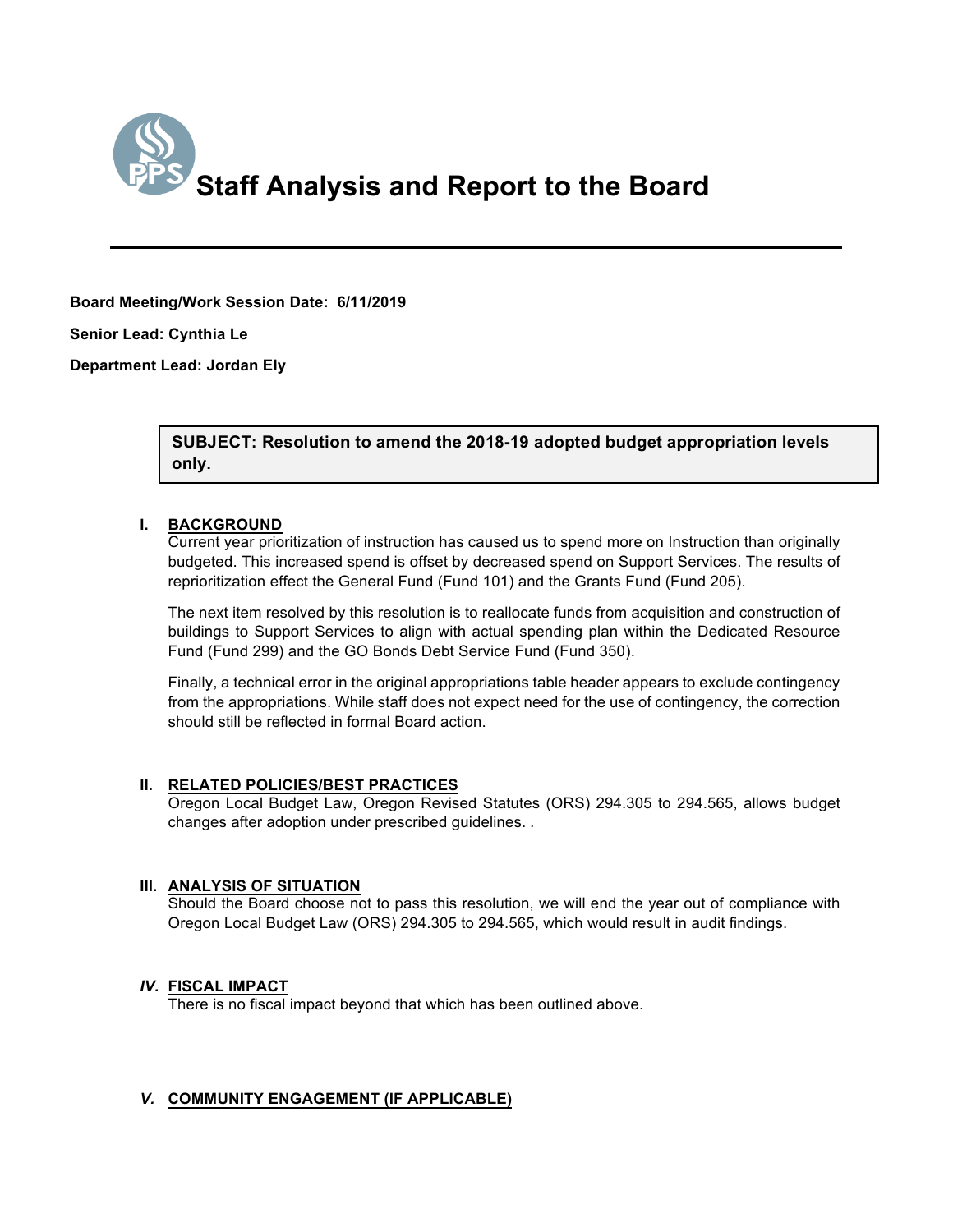

# **Board Meeting/Work Session Date: 6/11/2019**

**Senior Lead: Cynthia Le**

**Department Lead: Jordan Ely**

#### *(Use this section to briefly explain the item—2-3 sentences)* **SUBJECT: Resolution to amend the 2018-19 adopted budget appropriation levels only.**

## **I. BACKGROUND**

Current year prioritization of instruction has caused us to spend more on Instruction than originally budgeted. This increased spend is offset by decreased spend on Support Services. The results of reprioritization effect the General Fund (Fund 101) and the Grants Fund (Fund 205).

The next item resolved by this resolution is to reallocate funds from acquisition and construction of buildings to Support Services to align with actual spending plan within the Dedicated Resource Fund (Fund 299) and the GO Bonds Debt Service Fund (Fund 350).

Finally, a technical error in the original appropriations table header appears to exclude contingency from the appropriations. While staff does not expect need for the use of contingency, the correction should still be reflected in formal Board action.

# **II. RELATED POLICIES/BEST PRACTICES**

Oregon Local Budget Law, Oregon Revised Statutes (ORS) 294.305 to 294.565, allows budget changes after adoption under prescribed guidelines. *.*

# **III. ANALYSIS OF SITUATION**

Should the Board choose not to pass this resolution, we will end the year out of compliance with Oregon Local Budget Law (ORS) 294.305 to 294.565, which would result in audit findings.

# *IV.* **FISCAL IMPACT**

There is no fiscal impact beyond that which has been outlined above.

# *V.* **COMMUNITY ENGAGEMENT (IF APPLICABLE)**